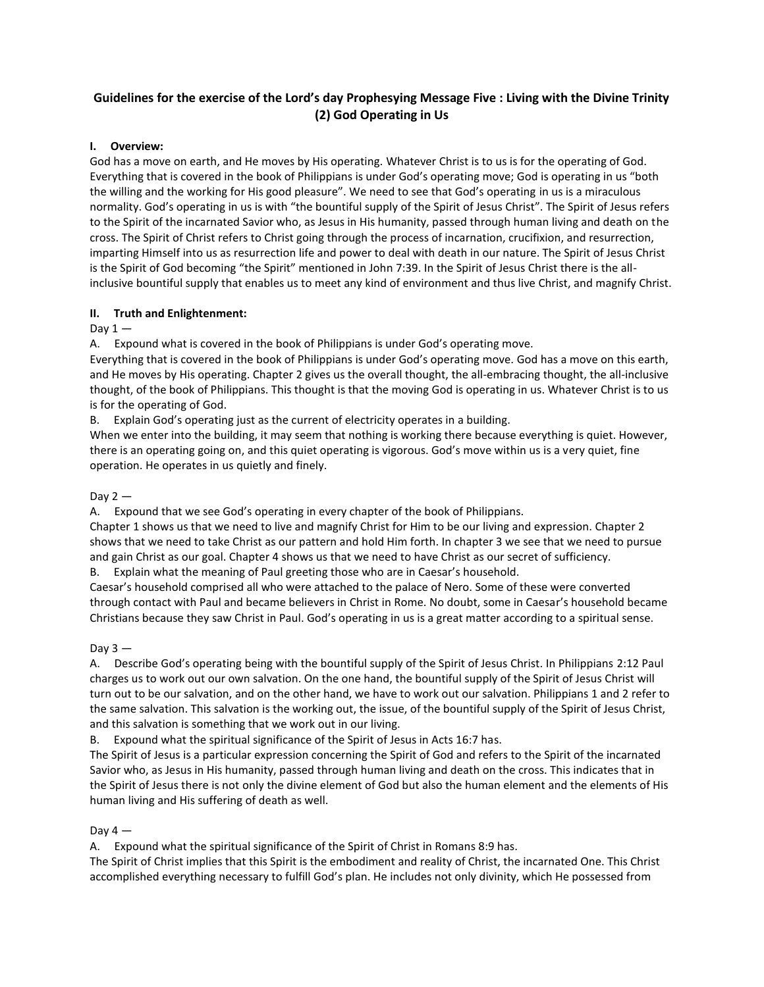# **Guidelines for the exercise of the Lord's day Prophesying Message Five : Living with the Divine Trinity (2) God Operating in Us**

## **I. Overview:**

God has a move on earth, and He moves by His operating. Whatever Christ is to us is for the operating of God. Everything that is covered in the book of Philippians is under God's operating move; God is operating in us "both the willing and the working for His good pleasure". We need to see that God's operating in us is a miraculous normality. God's operating in us is with "the bountiful supply of the Spirit of Jesus Christ". The Spirit of Jesus refers to the Spirit of the incarnated Savior who, as Jesus in His humanity, passed through human living and death on the cross. The Spirit of Christ refers to Christ going through the process of incarnation, crucifixion, and resurrection, imparting Himself into us as resurrection life and power to deal with death in our nature. The Spirit of Jesus Christ is the Spirit of God becoming "the Spirit" mentioned in John 7:39. In the Spirit of Jesus Christ there is the allinclusive bountiful supply that enables us to meet any kind of environment and thus live Christ, and magnify Christ.

### **II. Truth and Enlightenment:**

## Day  $1 -$

A. Expound what is covered in the book of Philippians is under God's operating move.

Everything that is covered in the book of Philippians is under God's operating move. God has a move on this earth, and He moves by His operating. Chapter 2 gives us the overall thought, the all-embracing thought, the all-inclusive thought, of the book of Philippians. This thought is that the moving God is operating in us. Whatever Christ is to us is for the operating of God.

B. Explain God's operating just as the current of electricity operates in a building.

When we enter into the building, it may seem that nothing is working there because everything is quiet. However, there is an operating going on, and this quiet operating is vigorous. God's move within us is a very quiet, fine operation. He operates in us quietly and finely.

## Day  $2 -$

A. Expound that we see God's operating in every chapter of the book of Philippians.

Chapter 1 shows us that we need to live and magnify Christ for Him to be our living and expression. Chapter 2 shows that we need to take Christ as our pattern and hold Him forth. In chapter 3 we see that we need to pursue and gain Christ as our goal. Chapter 4 shows us that we need to have Christ as our secret of sufficiency.

B. Explain what the meaning of Paul greeting those who are in Caesar's household.

Caesar's household comprised all who were attached to the palace of Nero. Some of these were converted through contact with Paul and became believers in Christ in Rome. No doubt, some in Caesar's household became Christians because they saw Christ in Paul. God's operating in us is a great matter according to a spiritual sense.

## Day  $3 -$

A. Describe God's operating being with the bountiful supply of the Spirit of Jesus Christ. In Philippians 2:12 Paul charges us to work out our own salvation. On the one hand, the bountiful supply of the Spirit of Jesus Christ will turn out to be our salvation, and on the other hand, we have to work out our salvation. Philippians 1 and 2 refer to the same salvation. This salvation is the working out, the issue, of the bountiful supply of the Spirit of Jesus Christ, and this salvation is something that we work out in our living.

B. Expound what the spiritual significance of the Spirit of Jesus in Acts 16:7 has.

The Spirit of Jesus is a particular expression concerning the Spirit of God and refers to the Spirit of the incarnated Savior who, as Jesus in His humanity, passed through human living and death on the cross. This indicates that in the Spirit of Jesus there is not only the divine element of God but also the human element and the elements of His human living and His suffering of death as well.

### Day  $4-$

A. Expound what the spiritual significance of the Spirit of Christ in Romans 8:9 has.

The Spirit of Christ implies that this Spirit is the embodiment and reality of Christ, the incarnated One. This Christ accomplished everything necessary to fulfill God's plan. He includes not only divinity, which He possessed from